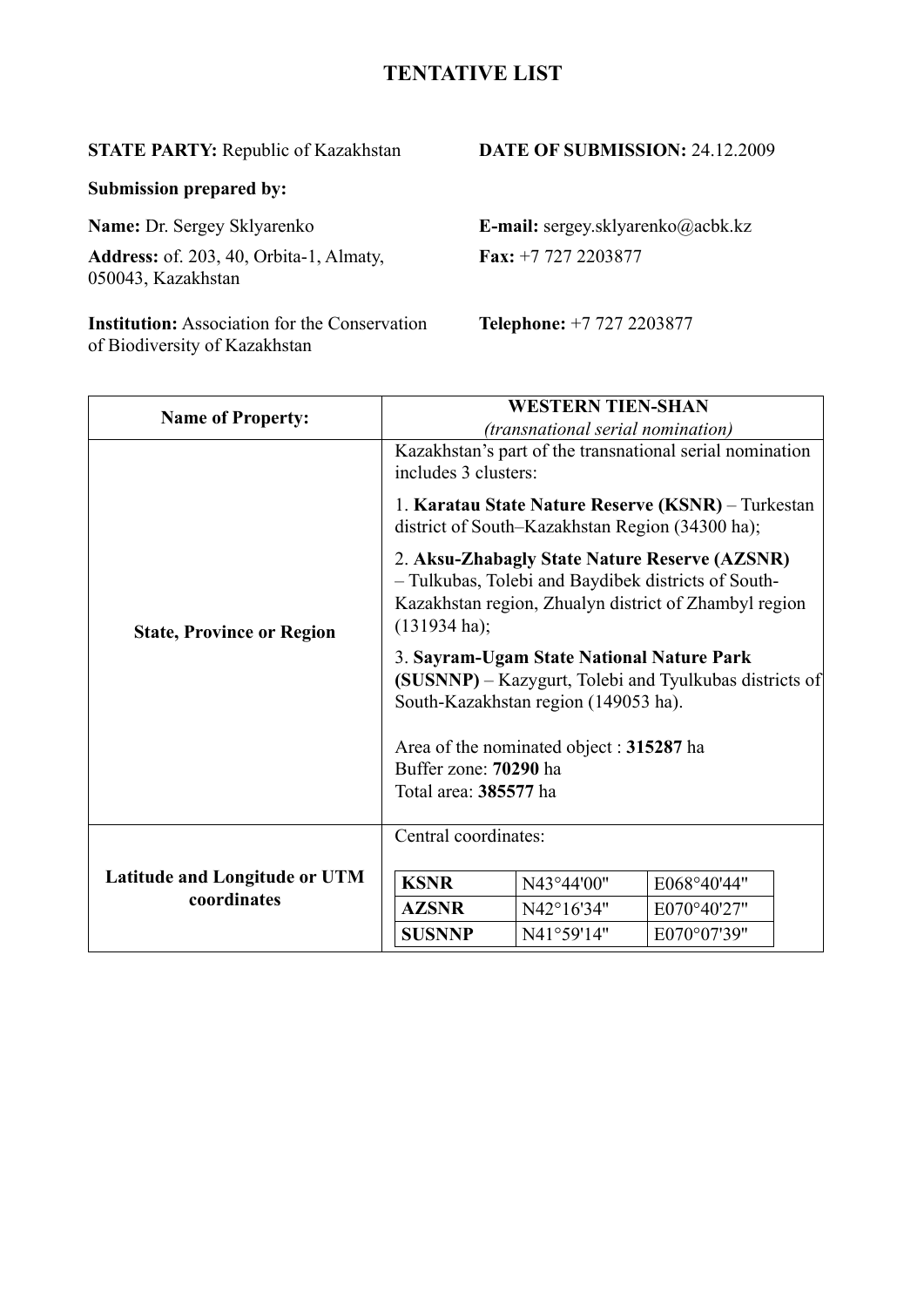# **TENTATIVE LIST**

**STATE PARTY:** Republic of Kazakhstan **DATE OF SUBMISSION:** 24.12.2009

**Submission prepared by:** 

**Address:** of. 203, 40, Orbita-1, Almaty, **Fax:** +7 727 2203877 050043, Kazakhstan

**Institution:** Association for the Conservation **Telephone:** +7 727 2203877 of Biodiversity of Kazakhstan

**Name:** Dr. Sergey Sklyarenko **E-mail:** sergey.sklyarenko@acbk.kz

| <b>Name of Property:</b>             |                                                                                                                                             | <b>WESTERN TIEN-SHAN</b>                        |                                                                                                                                                               |  |
|--------------------------------------|---------------------------------------------------------------------------------------------------------------------------------------------|-------------------------------------------------|---------------------------------------------------------------------------------------------------------------------------------------------------------------|--|
|                                      |                                                                                                                                             | <i>(transnational serial nomination)</i>        |                                                                                                                                                               |  |
|                                      | includes 3 clusters:                                                                                                                        |                                                 | Kazakhstan's part of the transnational serial nomination                                                                                                      |  |
|                                      |                                                                                                                                             | district of South-Kazakhstan Region (34300 ha); | 1. Karatau State Nature Reserve (KSNR) – Turkestan                                                                                                            |  |
| <b>State, Province or Region</b>     | $(131934 \text{ ha})$ ;                                                                                                                     |                                                 | 2. Aksu-Zhabagly State Nature Reserve (AZSNR)<br>- Tulkubas, Tolebi and Baydibek districts of South-<br>Kazakhstan region, Zhualyn district of Zhambyl region |  |
|                                      | 3. Sayram-Ugam State National Nature Park<br>(SUSNNP) – Kazygurt, Tolebi and Tyulkubas districts of<br>South-Kazakhstan region (149053 ha). |                                                 |                                                                                                                                                               |  |
|                                      | Area of the nominated object: 315287 ha<br>Buffer zone: 70290 ha                                                                            |                                                 |                                                                                                                                                               |  |
|                                      | Total area: 385577 ha                                                                                                                       |                                                 |                                                                                                                                                               |  |
|                                      | Central coordinates:                                                                                                                        |                                                 |                                                                                                                                                               |  |
| <b>Latitude and Longitude or UTM</b> | <b>KSNR</b>                                                                                                                                 | N43°44'00"                                      | E068°40'44"                                                                                                                                                   |  |
| coordinates                          | <b>AZSNR</b>                                                                                                                                | N42°16'34"                                      | E070°40'27"                                                                                                                                                   |  |
|                                      | <b>SUSNNP</b>                                                                                                                               | N41°59'14"                                      | E070°07'39"                                                                                                                                                   |  |
|                                      |                                                                                                                                             |                                                 |                                                                                                                                                               |  |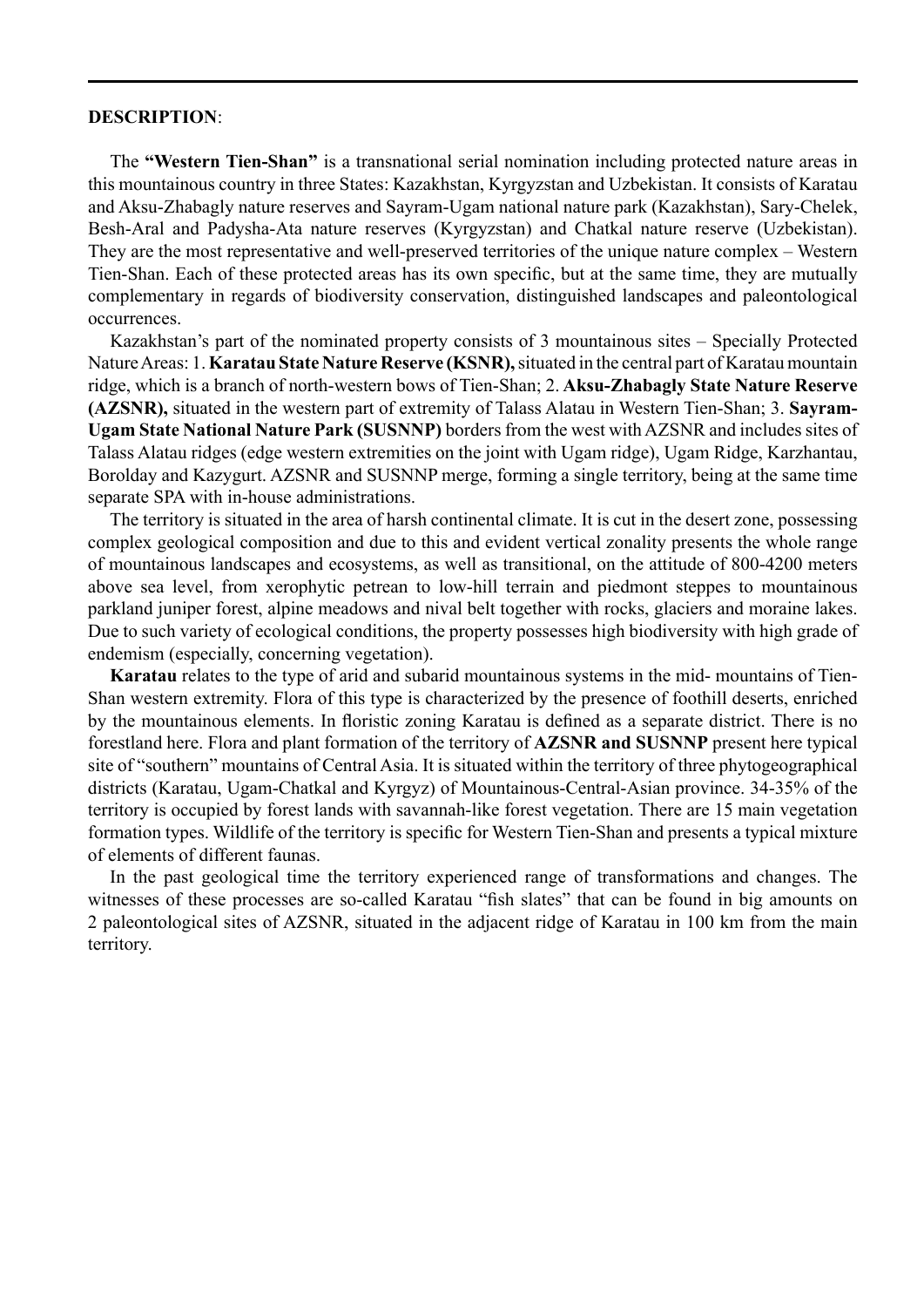#### **DESCRIPTION**:

The **"Western Tien-Shan"** is a transnational serial nomination including protected nature areas in this mountainous country in three States: Kazakhstan, Kyrgyzstan and Uzbekistan. It consists of Karatau and Aksu-Zhabagly nature reserves and Sayram-Ugam national nature park (Kazakhstan), Sary-Chelek, Besh-Aral and Padysha-Ata nature reserves (Kyrgyzstan) and Chatkal nature reserve (Uzbekistan). They are the most representative and well-preserved territories of the unique nature complex – Western Tien-Shan. Each of these protected areas has its own specific, but at the same time, they are mutually complementary in regards of biodiversity conservation, distinguished landscapes and paleontological occurrences.

Kazakhstan's part of the nominated property consists of 3 mountainous sites – Specially Protected Nature Areas: 1. **Karatau State Nature Reserve (KSNR),** situated in the central part of Karatau mountain ridge, which is a branch of north-western bows of Tien-Shan; 2. **Aksu-Zhabagly State Nature Reserve (AZSNR),** situated in the western part of extremity of Talass Alatau in Western Tien-Shan; 3. **Sayram-Ugam State National Nature Park (SUSNNP)** borders from the west with AZSNR and includes sites of Talass Alatau ridges (edge western extremities on the joint with Ugam ridge), Ugam Ridge, Karzhantau, Borolday and Kazygurt. AZSNR and SUSNNP merge, forming a single territory, being at the same time separate SPA with in-house administrations.

The territory is situated in the area of harsh continental climate. It is cut in the desert zone, possessing complex geological composition and due to this and evident vertical zonality presents the whole range of mountainous landscapes and ecosystems, as well as transitional, on the attitude of 800-4200 meters above sea level, from xerophytic petrean to low-hill terrain and piedmont steppes to mountainous parkland juniper forest, alpine meadows and nival belt together with rocks, glaciers and moraine lakes. Due to such variety of ecological conditions, the property possesses high biodiversity with high grade of endemism (especially, concerning vegetation).

**Karatau** relates to the type of arid and subarid mountainous systems in the mid- mountains of Tien-Shan western extremity. Flora of this type is characterized by the presence of foothill deserts, enriched by the mountainous elements. In floristic zoning Karatau is defined as a separate district. There is no forestland here. Flora and plant formation of the territory of **AZSNR and SUSNNP** present here typical site of "southern" mountains of Central Asia. It is situated within the territory of three phytogeographical districts (Karatau, Ugam-Chatkal and Kyrgyz) of Mountainous-Central-Asian province. 34-35% of the territory is occupied by forest lands with savannah-like forest vegetation. There are 15 main vegetation formation types. Wildlife of the territory is specific for Western Tien-Shan and presents a typical mixture of elements of different faunas.

In the past geological time the territory experienced range of transformations and changes. The witnesses of these processes are so-called Karatau "fish slates" that can be found in big amounts on 2 paleontological sites of AZSNR, situated in the adjacent ridge of Karatau in 100 km from the main territory.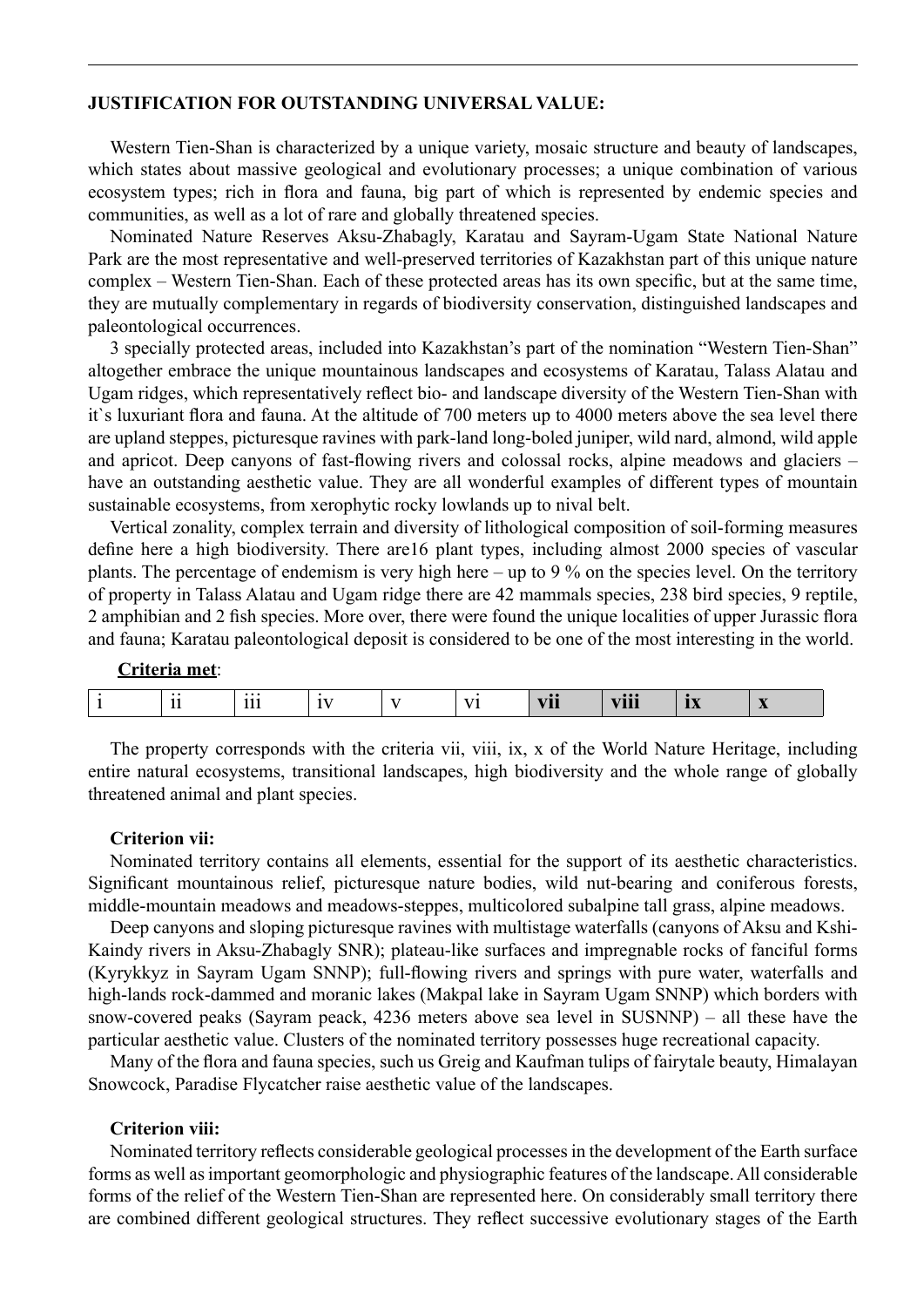## **JUSTIFICATION FOR OUTSTANDING UNIVERSAL VALUE:**

Western Tien-Shan is characterized by a unique variety, mosaic structure and beauty of landscapes, which states about massive geological and evolutionary processes; a unique combination of various ecosystem types; rich in flora and fauna, big part of which is represented by endemic species and communities, as well as a lot of rare and globally threatened species.

Nominated Nature Reserves Aksu-Zhabagly, Karatau and Sayram-Ugam State National Nature Park are the most representative and well-preserved territories of Kazakhstan part of this unique nature complex – Western Tien-Shan. Each of these protected areas has its own specific, but at the same time, they are mutually complementary in regards of biodiversity conservation, distinguished landscapes and paleontological occurrences.

3 specially protected areas, included into Kazakhstan's part of the nomination "Western Tien-Shan" altogether embrace the unique mountainous landscapes and ecosystems of Karatau, Talass Alatau and Ugam ridges, which representatively reflect bio- and landscape diversity of the Western Tien-Shan with it`s luxuriant flora and fauna. At the altitude of 700 meters up to 4000 meters above the sea level there are upland steppes, picturesque ravines with park-land long-boled juniper, wild nard, almond, wild apple and apricot. Deep canyons of fast-flowing rivers and colossal rocks, alpine meadows and glaciers – have an outstanding aesthetic value. They are all wonderful examples of different types of mountain sustainable ecosystems, from xerophytic rocky lowlands up to nival belt.

Vertical zonality, complex terrain and diversity of lithological composition of soil-forming measures define here a high biodiversity. There are16 plant types, including almost 2000 species of vascular plants. The percentage of endemism is very high here – up to 9 % on the species level. On the territory of property in Talass Alatau and Ugam ridge there are 42 mammals species, 238 bird species, 9 reptile, 2 amphibian and 2 fish species. More over, there were found the unique localities of upper Jurassic flora and fauna; Karatau paleontological deposit is considered to be one of the most interesting in the world.

# **Criteria met**:

| <b>VIII</b><br>- -- -<br>- - -<br>--<br>$\cdots$<br>.<br>. .<br>-<br>___<br>__<br>__ |
|--------------------------------------------------------------------------------------|
|--------------------------------------------------------------------------------------|

The property corresponds with the criteria vii, viii, ix, x of the World Nature Heritage, including entire natural ecosystems, transitional landscapes, high biodiversity and the whole range of globally threatened animal and plant species.

#### **Criterion vii:**

Nominated territory contains all elements, essential for the support of its aesthetic characteristics. Significant mountainous relief, picturesque nature bodies, wild nut-bearing and coniferous forests, middle-mountain meadows and meadows-steppes, multicolored subalpine tall grass, alpine meadows.

Deep canyons and sloping picturesque ravines with multistage waterfalls (canyons of Aksu and Kshi-Kaindy rivers in Aksu-Zhabagly SNR); plateau-like surfaces and impregnable rocks of fanciful forms (Kyrykkyz in Sayram Ugam SNNP); full-flowing rivers and springs with pure water, waterfalls and high-lands rock-dammed and moranic lakes (Makpal lake in Sayram Ugam SNNP) which borders with snow-covered peaks (Sayram peack, 4236 meters above sea level in SUSNNP) – all these have the particular aesthetic value. Clusters of the nominated territory possesses huge recreational capacity.

Many of the flora and fauna species, such us Greig and Kaufman tulips of fairytale beauty, Himalayan Snowcock, Paradise Flycatcher raise aesthetic value of the landscapes.

### **Criterion viii:**

Nominated territory reflects considerable geological processes in the development of the Earth surface forms as well as important geomorphologic and physiographic features of the landscape. All considerable forms of the relief of the Western Tien-Shan are represented here. On considerably small territory there are combined different geological structures. They reflect successive evolutionary stages of the Earth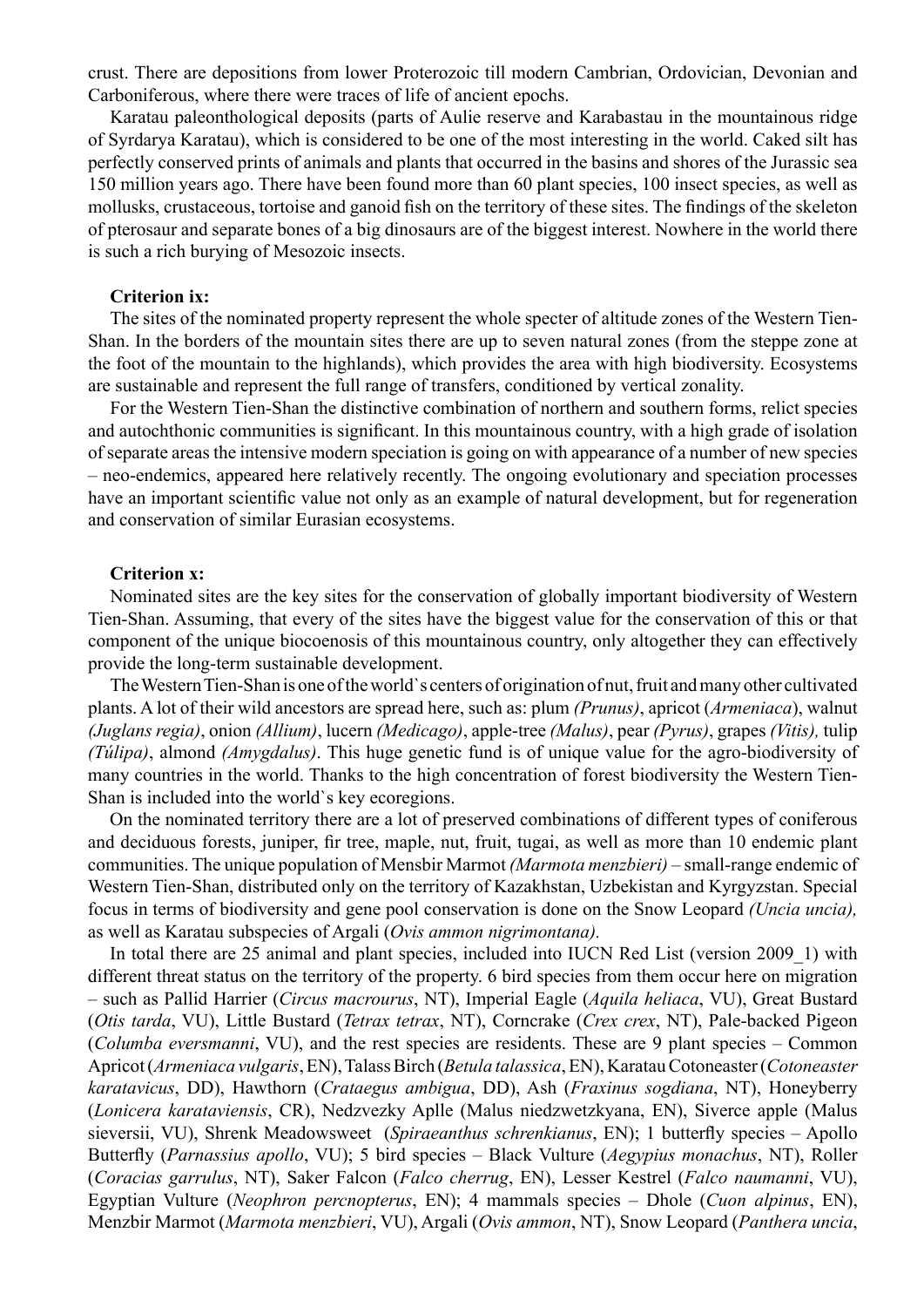crust. There are depositions from lower Proterozoic till modern Cambrian, Ordovician, Devonian and Carboniferous, where there were traces of life of ancient epochs.

Karatau paleonthological deposits (parts of Aulie reserve and Karabastau in the mountainous ridge of Syrdarya Karatau), which is considered to be one of the most interesting in the world. Caked silt has perfectly conserved prints of animals and plants that occurred in the basins and shores of the Jurassic sea 150 million years ago. There have been found more than 60 plant species, 100 insect species, as well as mollusks, crustaceous, tortoise and ganoid fish on the territory of these sites. The findings of the skeleton of pterosaur and separate bones of a big dinosaurs are of the biggest interest. Nowhere in the world there is such a rich burying of Mesozoic insects.

# **Criterion ix:**

The sites of the nominated property represent the whole specter of altitude zones of the Western Tien-Shan. In the borders of the mountain sites there are up to seven natural zones (from the steppe zone at the foot of the mountain to the highlands), which provides the area with high biodiversity. Ecosystems are sustainable and represent the full range of transfers, conditioned by vertical zonality.

For the Western Tien-Shan the distinctive combination of northern and southern forms, relict species and autochthonic communities is significant. In this mountainous country, with a high grade of isolation of separate areas the intensive modern speciation is going on with appearance of a number of new species – neo-endemics, appeared here relatively recently. The ongoing evolutionary and speciation processes have an important scientific value not only as an example of natural development, but for regeneration and conservation of similar Eurasian ecosystems.

# **Criterion x:**

Nominated sites are the key sites for the conservation of globally important biodiversity of Western Tien-Shan. Assuming, that every of the sites have the biggest value for the conservation of this or that component of the unique biocoenosis of this mountainous country, only altogether they can effectively provide the long-term sustainable development.

The Western Tien-Shan is one of the world`s centers of origination of nut, fruit and many other cultivated plants. A lot of their wild ancestors are spread here, such as: plum *(Prunus)*, apricot (*Armeniaca*), walnut *(Juglans regia)*, onion *(Allium)*, lucern *(Medicago)*, apple-tree *(Malus)*, pear *(Pyrus)*, grapes *(Vitis),* tulip *(Túlipa)*, almond *(Amygdalus)*. This huge genetic fund is of unique value for the agro-biodiversity of many countries in the world. Thanks to the high concentration of forest biodiversity the Western Tien-Shan is included into the world`s key ecoregions.

On the nominated territory there are a lot of preserved combinations of different types of coniferous and deciduous forests, juniper, fir tree, maple, nut, fruit, tugai, as well as more than 10 endemic plant communities. The unique population of Mensbir Marmot *(Marmota menzbieri)* – small-range endemic of Western Tien-Shan, distributed only on the territory of Kazakhstan, Uzbekistan and Kyrgyzstan. Special focus in terms of biodiversity and gene pool conservation is done on the Snow Leopard *(Uncia uncia),* as well as Karatau subspecies of Argali (*Ovis ammon nigrimontana).*

In total there are 25 animal and plant species, included into IUCN Red List (version 2009\_1) with different threat status on the territory of the property. 6 bird species from them occur here on migration – such as Pallid Harrier (*Circus macrourus*, NT), Imperial Eagle (*Aquila heliaca*, VU), Great Bustard (*Otis tarda*, VU), Little Bustard (*Tetrax tetrax*, NT), Corncrake (*Crex crex*, NT), Pale-backed Pigeon (*Columba eversmanni*, VU), and the rest species are residents. These are 9 plant species – Common Apricot (*Armeniaca vulgaris*, EN), Talass Birch (*Betula talassica*, EN), Karatau Cotoneaster (*Cotoneaster karatavicus*, DD), Hawthorn (*Crataegus ambigua*, DD), Ash (*Fraxinus sogdiana*, NT), Honeyberry (*Lonicera karataviensis*, CR), Nedzvezky Aplle (Malus niedzwetzkyana, EN), Siverce apple (Malus sieversii, VU), Shrenk Meadowsweet (*Spiraeanthus schrenkianus*, EN); 1 butterfly species – Apollo Butterfly (*Parnassius apollo*, VU); 5 bird species – Black Vulture (*Aegypius monachus*, NT), Roller (*Coracias garrulus*, NT), Saker Falcon (*Falco cherrug*, EN), Lesser Kestrel (*Falco naumanni*, VU), Egyptian Vulture (*Neophron percnopterus*, EN); 4 mammals species – Dhole (*Cuon alpinus*, EN), Menzbir Marmot (*Marmota menzbieri*, VU), Argali (*Ovis ammon*, NT), Snow Leopard (*Panthera uncia*,